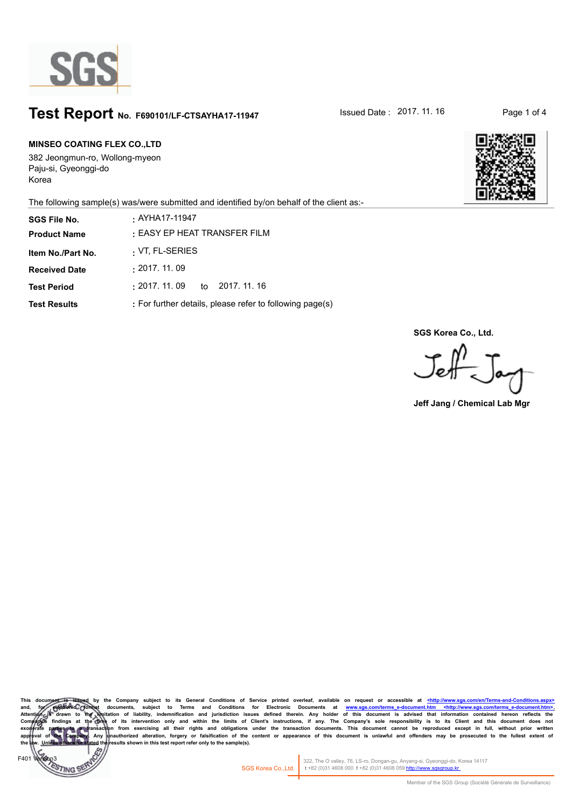

# **Test Report** No. F690101/LF-CTSAYHA17-11947 **ISSued Date : 2017. 11. 16** Page 1 of 4

# **MINSEO COATING FLEX CO.,LTD**

382 Jeongmun-ro, Wollong-myeon Paju-si, Gyeonggi-do Korea

 $F40<sup>4</sup>$ 

**TINGS** 



The following sample(s) was/were submitted and identified by/on behalf of the client as:-

| <b>SGS File No.</b>  | . AYHA17-11947                                           |
|----------------------|----------------------------------------------------------|
| <b>Product Name</b>  | : EASY EP HEAT TRANSFER FILM                             |
| Item No./Part No.    | : VT, FL-SERIES                                          |
| <b>Received Date</b> | : 2017.11.09                                             |
| <b>Test Period</b>   | :2017. 11. 09<br>to 2017, 11, 16                         |
| <b>Test Results</b>  | : For further details, please refer to following page(s) |

**SGS Korea Co., Ltd.**

 $J$ eff  $J_{\alpha\gamma}$ 

**Jeff Jang / Chemical Lab Mgr**

This document is issued by the Company subject to its General Conditions of Service printed overleaf, available on request or accessible at <u><http://www.sgs.com/en/Terms-and-</u> and, for electronic format documents, subject to Terms and Conditions for Electronic Documents at www.sgs.com/terms e-document.htm <http://www.sgs.com/terms e-document.htm <http://www.sgs.com/terms e-document.htm </http:// sults shown in this test report refer only to the sample(s).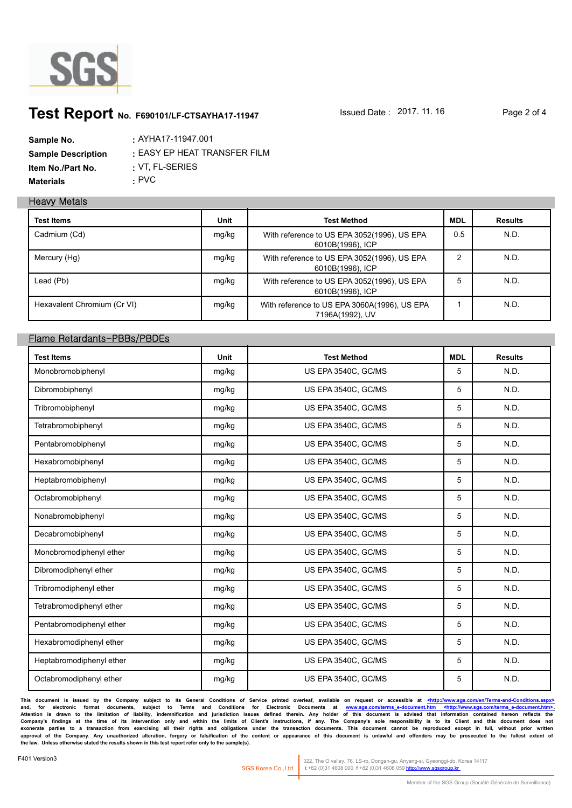

# **Test Report** No. F690101/LF-CTSAYHA17-11947 **ISSued Date : 2017. 11. 16** Page 2 of 4

| Sample No.                | . AYHA17-11947.001           |
|---------------------------|------------------------------|
| <b>Sample Description</b> | : EASY EP HEAT TRANSFER FILM |
| Item No./Part No.         | $\cdot$ VT. FL-SERIES        |
| <b>Materials</b>          | · PVC                        |

### **Heavy Metals**

| <b>Test Items</b>           | Unit  | <b>Test Method</b>                                              | <b>MDL</b> | <b>Results</b> |
|-----------------------------|-------|-----------------------------------------------------------------|------------|----------------|
| Cadmium (Cd)                | mg/kg | With reference to US EPA 3052(1996), US EPA<br>6010B(1996), ICP | 0.5        | N.D.           |
| Mercury (Hg)                | mg/kg | With reference to US EPA 3052(1996), US EPA<br>6010B(1996), ICP | ົ          | N.D.           |
| Lead (Pb)                   | mg/kg | With reference to US EPA 3052(1996), US EPA<br>6010B(1996), ICP | 5          | N.D.           |
| Hexavalent Chromium (Cr VI) | mg/kg | With reference to US EPA 3060A(1996), US EPA<br>7196A(1992), UV |            | N.D.           |

# **Flame Retardants-PBBs/PBDEs**

| <b>Test Items</b>        | Unit  | <b>Test Method</b>  | <b>MDL</b> | <b>Results</b> |
|--------------------------|-------|---------------------|------------|----------------|
| Monobromobiphenyl        | mg/kg | US EPA 3540C, GC/MS | 5          | N.D.           |
| Dibromobiphenyl          | mg/kg | US EPA 3540C, GC/MS | 5          | N.D.           |
| Tribromobiphenyl         | mg/kg | US EPA 3540C, GC/MS | 5          | N.D.           |
| Tetrabromobiphenyl       | mg/kg | US EPA 3540C, GC/MS | 5          | N.D.           |
| Pentabromobiphenyl       | mg/kg | US EPA 3540C, GC/MS | 5          | N.D.           |
| Hexabromobiphenyl        | mg/kg | US EPA 3540C, GC/MS | 5          | N.D.           |
| Heptabromobiphenyl       | mg/kg | US EPA 3540C, GC/MS | 5          | N.D.           |
| Octabromobiphenyl        | mg/kg | US EPA 3540C, GC/MS | 5          | N.D.           |
| Nonabromobiphenyl        | mg/kg | US EPA 3540C, GC/MS | 5          | N.D.           |
| Decabromobiphenyl        | mg/kg | US EPA 3540C, GC/MS | 5          | N.D.           |
| Monobromodiphenyl ether  | mg/kg | US EPA 3540C, GC/MS | 5          | N.D.           |
| Dibromodiphenyl ether    | mg/kg | US EPA 3540C, GC/MS | 5          | N.D.           |
| Tribromodiphenyl ether   | mg/kg | US EPA 3540C, GC/MS | 5          | N.D.           |
| Tetrabromodiphenyl ether | mg/kg | US EPA 3540C, GC/MS | 5          | N.D.           |
| Pentabromodiphenyl ether | mg/kg | US EPA 3540C, GC/MS | 5          | N.D.           |
| Hexabromodiphenyl ether  | mg/kg | US EPA 3540C, GC/MS | 5          | N.D.           |
| Heptabromodiphenyl ether | mg/kg | US EPA 3540C, GC/MS | 5          | N.D.           |
| Octabromodiphenyl ether  | mg/kg | US EPA 3540C, GC/MS | 5          | N.D.           |

**This document is issued by the Company subject to its General Conditions of Service printed overleaf, available on request or accessible at <http://www.sgs.com/en/Terms-and-Conditions.aspx>** and, for electronic format documents, subject to Terms and Conditions for Electronic Documents at <u>www.sgs.com/terms-e-document.htm <http://www.sgs.com/terms-e-document.htm>.</u><br>Attention is drawn to the limitation of liabil Company's findings at the time of its intervention only and within the limits of Client's instructions, if any. The Company's sole responsibility is to its Client and this document does not<br>exonerate parties to a transacti **the law. Unless otherwise stated the results shown in this test report refer only to the sample(s).**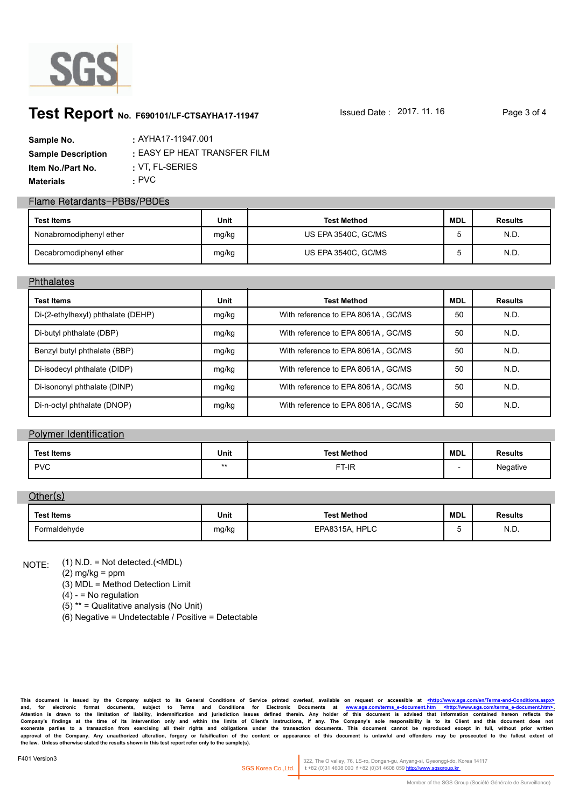

# **Test Report** No. F690101/LF-CTSAYHA17-11947 **ISSued Date : 2017. 11. 16** Page 3 of 4

| Sample No.                | : AYHA17-11947.001           |
|---------------------------|------------------------------|
| <b>Sample Description</b> | : EASY EP HEAT TRANSFER FILM |
| Item No./Part No.         | $\cdot$ VT. FL-SERIES        |
| <b>Materials</b>          | · PVC                        |

### **Flame Retardants-PBBs/PBDEs**

| <b>Test Items</b>       | Unit  | <b>Test Method</b>  | <b>MDL</b> | <b>Results</b> |
|-------------------------|-------|---------------------|------------|----------------|
| Nonabromodiphenyl ether | mg/kg | US EPA 3540C, GC/MS |            | N.D.           |
| Decabromodiphenyl ether | mg/kg | US EPA 3540C, GC/MS |            | N.D.           |

### **Phthalates**

| <b>Test Items</b>                  | <b>Unit</b> | <b>Test Method</b>                 | <b>MDL</b> | <b>Results</b> |
|------------------------------------|-------------|------------------------------------|------------|----------------|
| Di-(2-ethylhexyl) phthalate (DEHP) | mg/kg       | With reference to EPA 8061A, GC/MS | 50         | N.D.           |
| Di-butyl phthalate (DBP)           | mg/kg       | With reference to EPA 8061A, GC/MS | 50         | N.D.           |
| Benzyl butyl phthalate (BBP)       | mg/kg       | With reference to EPA 8061A, GC/MS | 50         | N.D.           |
| Di-isodecyl phthalate (DIDP)       | mg/kg       | With reference to EPA 8061A, GC/MS | 50         | N.D.           |
| Di-isononyl phthalate (DINP)       | mg/kg       | With reference to EPA 8061A, GC/MS | 50         | N.D.           |
| Di-n-octyl phthalate (DNOP)        | mg/kg       | With reference to EPA 8061A, GC/MS | 50         | N.D.           |

### **Polymer Identification**

| <b>Test Items</b> | Unit | <b>Test Method</b> | MDL | <b>Results</b> |
|-------------------|------|--------------------|-----|----------------|
| <b>PVC</b>        | **   | --<br>T-IR         |     | Negative       |

## **Other(s)**

| Test Items   | Unit  | <b>Test Method</b>  | <b>MDL</b> | <b>Results</b> |
|--------------|-------|---------------------|------------|----------------|
| Formaldehyde | mg/kg | , HPLC<br>EPA8315A. |            | N.D.           |

(1) N.D. = Not detected.(<MDL) NOTE:

(2) mg/kg = ppm

(3) MDL = Method Detection Limit

 $(4) - 10$  regulation

(5) \*\* = Qualitative analysis (No Unit)

(6) Negative = Undetectable / Positive = Detectable

**This document is issued by the Company subject to its General Conditions of Service printed overleaf, available on request or accessible at <http://www.sgs.com/en/Terms-and-Conditions.aspx>** and, for electronic format documents, subject to Terms and Conditions for Electronic Documents at <u>www.sgs.com/terms-e-document.htm <http://www.sgs.com/terms-e-document.htm>.</u><br>Attention is drawn to the limitation of liabil Company's findings at the time of its intervention only and within the limits of Client's instructions, if any. The Company's sole responsibility is to its Client and this document does not<br>exonerate parties to a transacti **the law. Unless otherwise stated the results shown in this test report refer only to the sample(s).**